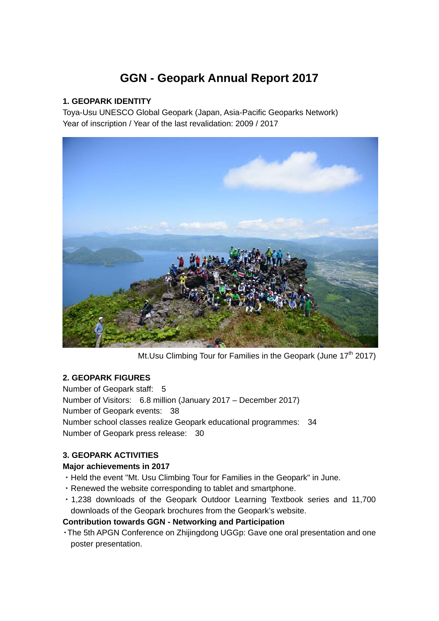# **GGN - Geopark Annual Report 2017**

# **1. GEOPARK IDENTITY**

Toya-Usu UNESCO Global Geopark (Japan, Asia-Pacific Geoparks Network) Year of inscription / Year of the last revalidation: 2009 / 2017



Mt.Usu Climbing Tour for Families in the Geopark (June  $17<sup>th</sup> 2017$ )

# **2. GEOPARK FIGURES**

Number of Geopark staff: 5 Number of Visitors: 6.8 million (January 2017 – December 2017) Number of Geopark events: 38 Number school classes realize Geopark educational programmes: 34 Number of Geopark press release: 30

# **3. GEOPARK ACTIVITIES**

# **Major achievements in 2017**

- ・Held the event "Mt. Usu Climbing Tour for Families in the Geopark" in June.
- ・Renewed the website corresponding to tablet and smartphone.
- ・1,238 downloads of the Geopark Outdoor Learning Textbook series and 11,700 downloads of the Geopark brochures from the Geopark's website.

# **Contribution towards GGN - Networking and Participation**

・The 5th APGN Conference on Zhijingdong UGGp: Gave one oral presentation and one poster presentation.